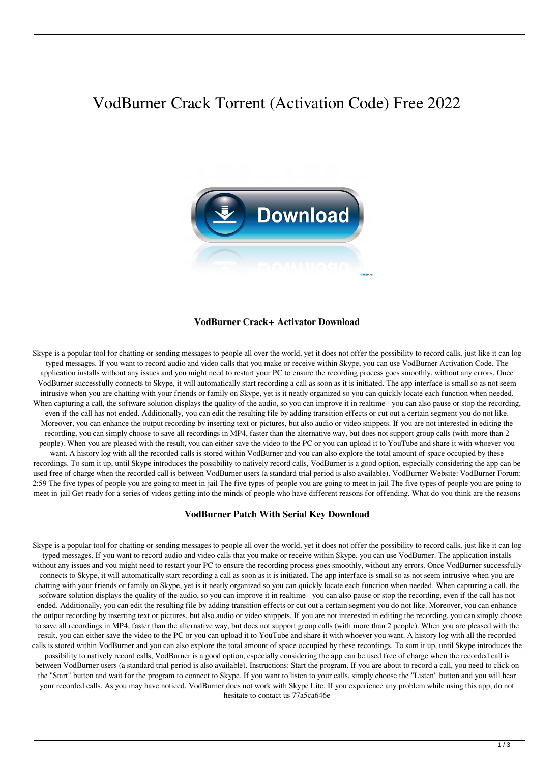# VodBurner Crack Torrent (Activation Code) Free 2022



#### **VodBurner Crack+ Activator Download**

Skype is a popular tool for chatting or sending messages to people all over the world, yet it does not offer the possibility to record calls, just like it can log typed messages. If you want to record audio and video calls that you make or receive within Skype, you can use VodBurner Activation Code. The application installs without any issues and you might need to restart your PC to ensure the recording process goes smoothly, without any errors. Once VodBurner successfully connects to Skype, it will automatically start recording a call as soon as it is initiated. The app interface is small so as not seem intrusive when you are chatting with your friends or family on Skype, yet is it neatly organized so you can quickly locate each function when needed. When capturing a call, the software solution displays the quality of the audio, so you can improve it in realtime - you can also pause or stop the recording, even if the call has not ended. Additionally, you can edit the resulting file by adding transition effects or cut out a certain segment you do not like. Moreover, you can enhance the output recording by inserting text or pictures, but also audio or video snippets. If you are not interested in editing the recording, you can simply choose to save all recordings in MP4, faster than the alternative way, but does not support group calls (with more than 2 people). When you are pleased with the result, you can either save the video to the PC or you can upload it to YouTube and share it with whoever you want. A history log with all the recorded calls is stored within VodBurner and you can also explore the total amount of space occupied by these recordings. To sum it up, until Skype introduces the possibility to natively record calls, VodBurner is a good option, especially considering the app can be used free of charge when the recorded call is between VodBurner users (a standard trial period is also available). VodBurner Website: VodBurner Forum: 2:59 The five types of people you are going to meet in jail The five types of people you are going to meet in jail The five types of people you are going to meet in jail Get ready for a series of videos getting into the minds of people who have different reasons for offending. What do you think are the reasons

#### **VodBurner Patch With Serial Key Download**

Skype is a popular tool for chatting or sending messages to people all over the world, yet it does not offer the possibility to record calls, just like it can log typed messages. If you want to record audio and video calls that you make or receive within Skype, you can use VodBurner. The application installs without any issues and you might need to restart your PC to ensure the recording process goes smoothly, without any errors. Once VodBurner successfully connects to Skype, it will automatically start recording a call as soon as it is initiated. The app interface is small so as not seem intrusive when you are chatting with your friends or family on Skype, yet is it neatly organized so you can quickly locate each function when needed. When capturing a call, the software solution displays the quality of the audio, so you can improve it in realtime - you can also pause or stop the recording, even if the call has not ended. Additionally, you can edit the resulting file by adding transition effects or cut out a certain segment you do not like. Moreover, you can enhance the output recording by inserting text or pictures, but also audio or video snippets. If you are not interested in editing the recording, you can simply choose to save all recordings in MP4, faster than the alternative way, but does not support group calls (with more than 2 people). When you are pleased with the result, you can either save the video to the PC or you can upload it to YouTube and share it with whoever you want. A history log with all the recorded calls is stored within VodBurner and you can also explore the total amount of space occupied by these recordings. To sum it up, until Skype introduces the possibility to natively record calls, VodBurner is a good option, especially considering the app can be used free of charge when the recorded call is between VodBurner users (a standard trial period is also available). Instructions: Start the program. If you are about to record a call, you need to click on the "Start" button and wait for the program to connect to Skype. If you want to listen to your calls, simply choose the "Listen" button and you will hear your recorded calls. As you may have noticed, VodBurner does not work with Skype Lite. If you experience any problem while using this app, do not hesitate to contact us 77a5ca646e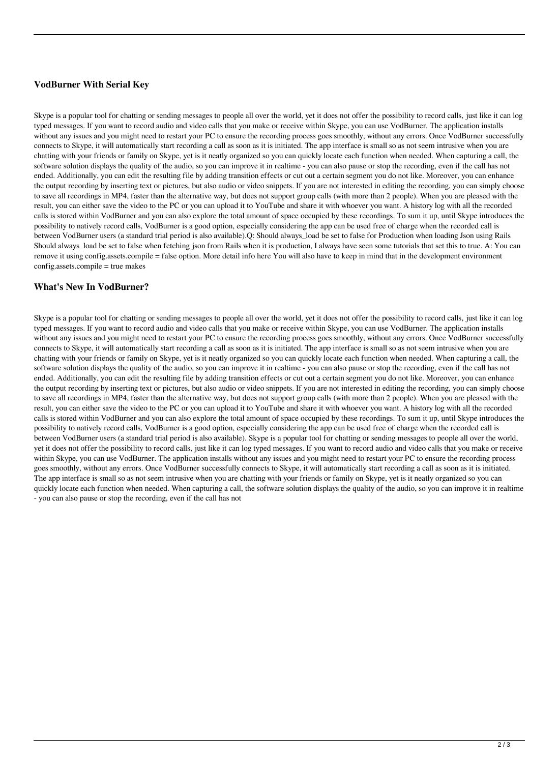# **VodBurner With Serial Key**

Skype is a popular tool for chatting or sending messages to people all over the world, yet it does not offer the possibility to record calls, just like it can log typed messages. If you want to record audio and video calls that you make or receive within Skype, you can use VodBurner. The application installs without any issues and you might need to restart your PC to ensure the recording process goes smoothly, without any errors. Once VodBurner successfully connects to Skype, it will automatically start recording a call as soon as it is initiated. The app interface is small so as not seem intrusive when you are chatting with your friends or family on Skype, yet is it neatly organized so you can quickly locate each function when needed. When capturing a call, the software solution displays the quality of the audio, so you can improve it in realtime - you can also pause or stop the recording, even if the call has not ended. Additionally, you can edit the resulting file by adding transition effects or cut out a certain segment you do not like. Moreover, you can enhance the output recording by inserting text or pictures, but also audio or video snippets. If you are not interested in editing the recording, you can simply choose to save all recordings in MP4, faster than the alternative way, but does not support group calls (with more than 2 people). When you are pleased with the result, you can either save the video to the PC or you can upload it to YouTube and share it with whoever you want. A history log with all the recorded calls is stored within VodBurner and you can also explore the total amount of space occupied by these recordings. To sum it up, until Skype introduces the possibility to natively record calls, VodBurner is a good option, especially considering the app can be used free of charge when the recorded call is between VodBurner users (a standard trial period is also available).Q: Should always\_load be set to false for Production when loading Json using Rails Should always load be set to false when fetching json from Rails when it is production, I always have seen some tutorials that set this to true. A: You can remove it using config.assets.compile = false option. More detail info here You will also have to keep in mind that in the development environment config.assets.compile = true makes

# **What's New In VodBurner?**

Skype is a popular tool for chatting or sending messages to people all over the world, yet it does not offer the possibility to record calls, just like it can log typed messages. If you want to record audio and video calls that you make or receive within Skype, you can use VodBurner. The application installs without any issues and you might need to restart your PC to ensure the recording process goes smoothly, without any errors. Once VodBurner successfully connects to Skype, it will automatically start recording a call as soon as it is initiated. The app interface is small so as not seem intrusive when you are chatting with your friends or family on Skype, yet is it neatly organized so you can quickly locate each function when needed. When capturing a call, the software solution displays the quality of the audio, so you can improve it in realtime - you can also pause or stop the recording, even if the call has not ended. Additionally, you can edit the resulting file by adding transition effects or cut out a certain segment you do not like. Moreover, you can enhance the output recording by inserting text or pictures, but also audio or video snippets. If you are not interested in editing the recording, you can simply choose to save all recordings in MP4, faster than the alternative way, but does not support group calls (with more than 2 people). When you are pleased with the result, you can either save the video to the PC or you can upload it to YouTube and share it with whoever you want. A history log with all the recorded calls is stored within VodBurner and you can also explore the total amount of space occupied by these recordings. To sum it up, until Skype introduces the possibility to natively record calls, VodBurner is a good option, especially considering the app can be used free of charge when the recorded call is between VodBurner users (a standard trial period is also available). Skype is a popular tool for chatting or sending messages to people all over the world, yet it does not offer the possibility to record calls, just like it can log typed messages. If you want to record audio and video calls that you make or receive within Skype, you can use VodBurner. The application installs without any issues and you might need to restart your PC to ensure the recording process goes smoothly, without any errors. Once VodBurner successfully connects to Skype, it will automatically start recording a call as soon as it is initiated. The app interface is small so as not seem intrusive when you are chatting with your friends or family on Skype, yet is it neatly organized so you can quickly locate each function when needed. When capturing a call, the software solution displays the quality of the audio, so you can improve it in realtime - you can also pause or stop the recording, even if the call has not